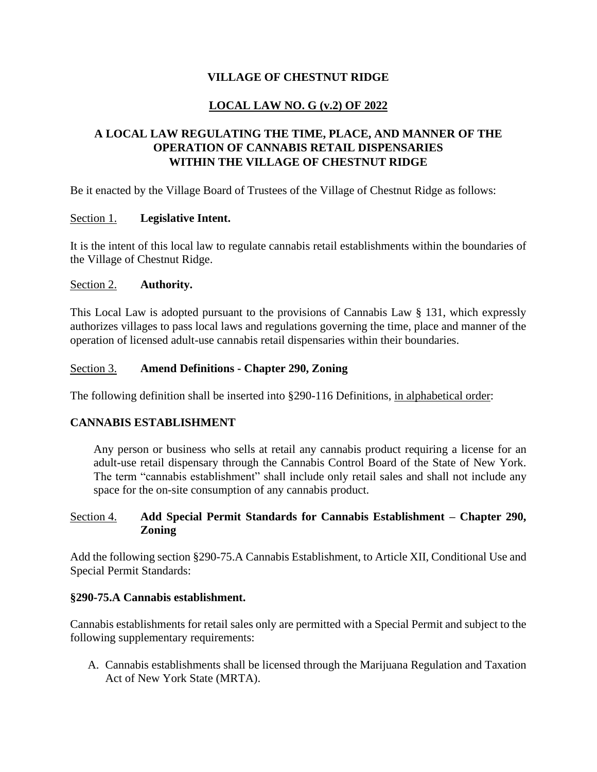## **VILLAGE OF CHESTNUT RIDGE**

## **LOCAL LAW NO. G (v.2) OF 2022**

# **A LOCAL LAW REGULATING THE TIME, PLACE, AND MANNER OF THE OPERATION OF CANNABIS RETAIL DISPENSARIES WITHIN THE VILLAGE OF CHESTNUT RIDGE**

Be it enacted by the Village Board of Trustees of the Village of Chestnut Ridge as follows:

#### Section 1. **Legislative Intent.**

It is the intent of this local law to regulate cannabis retail establishments within the boundaries of the Village of Chestnut Ridge.

#### Section 2. **Authority.**

This Local Law is adopted pursuant to the provisions of Cannabis Law § 131, which expressly authorizes villages to pass local laws and regulations governing the time, place and manner of the operation of licensed adult-use cannabis retail dispensaries within their boundaries.

#### Section 3. **Amend Definitions - Chapter 290, Zoning**

The following definition shall be inserted into §290-116 Definitions, in alphabetical order:

#### **CANNABIS ESTABLISHMENT**

Any person or business who sells at retail any cannabis product requiring a license for an adult-use retail dispensary through the Cannabis Control Board of the State of New York. The term "cannabis establishment" shall include only retail sales and shall not include any space for the on-site consumption of any cannabis product.

#### Section 4. **Add Special Permit Standards for Cannabis Establishment – Chapter 290, Zoning**

Add the following section §290-75.A Cannabis Establishment, to Article XII, Conditional Use and Special Permit Standards:

#### **§290-75.A Cannabis establishment.**

Cannabis establishments for retail sales only are permitted with a Special Permit and subject to the following supplementary requirements:

A. Cannabis establishments shall be licensed through the Marijuana Regulation and Taxation Act of New York State (MRTA).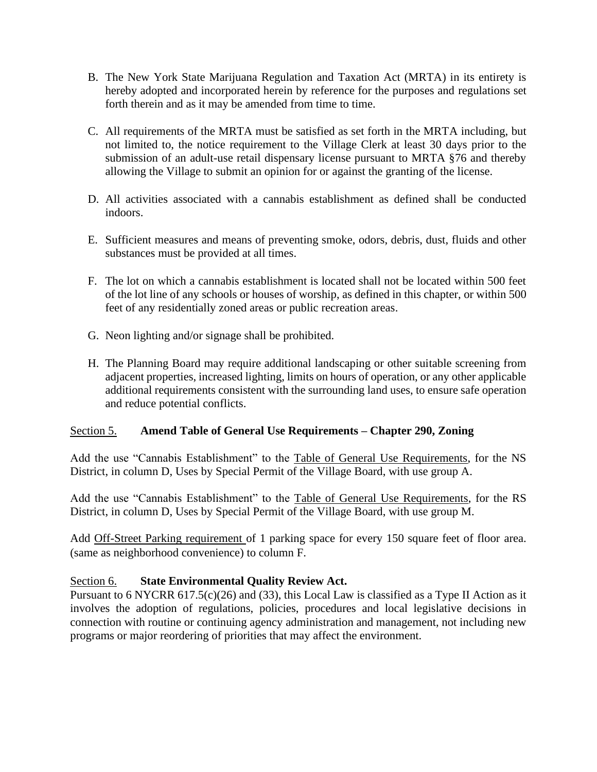- B. The New York State Marijuana Regulation and Taxation Act (MRTA) in its entirety is hereby adopted and incorporated herein by reference for the purposes and regulations set forth therein and as it may be amended from time to time.
- C. All requirements of the MRTA must be satisfied as set forth in the MRTA including, but not limited to, the notice requirement to the Village Clerk at least 30 days prior to the submission of an adult-use retail dispensary license pursuant to MRTA §76 and thereby allowing the Village to submit an opinion for or against the granting of the license.
- D. All activities associated with a cannabis establishment as defined shall be conducted indoors.
- E. Sufficient measures and means of preventing smoke, odors, debris, dust, fluids and other substances must be provided at all times.
- F. The lot on which a cannabis establishment is located shall not be located within 500 feet of the lot line of any schools or houses of worship, as defined in this chapter, or within 500 feet of any residentially zoned areas or public recreation areas.
- G. Neon lighting and/or signage shall be prohibited.
- H. The Planning Board may require additional landscaping or other suitable screening from adjacent properties, increased lighting, limits on hours of operation, or any other applicable additional requirements consistent with the surrounding land uses, to ensure safe operation and reduce potential conflicts.

#### Section 5. **Amend Table of General Use Requirements – Chapter 290, Zoning**

Add the use "Cannabis Establishment" to the Table of General Use Requirements, for the NS District, in column D, Uses by Special Permit of the Village Board, with use group A.

Add the use "Cannabis Establishment" to the Table of General Use Requirements, for the RS District, in column D, Uses by Special Permit of the Village Board, with use group M.

Add Off-Street Parking requirement of 1 parking space for every 150 square feet of floor area. (same as neighborhood convenience) to column F.

## Section 6. **State Environmental Quality Review Act.**

Pursuant to 6 NYCRR 617.5(c)(26) and (33), this Local Law is classified as a Type II Action as it involves the adoption of regulations, policies, procedures and local legislative decisions in connection with routine or continuing agency administration and management, not including new programs or major reordering of priorities that may affect the environment.